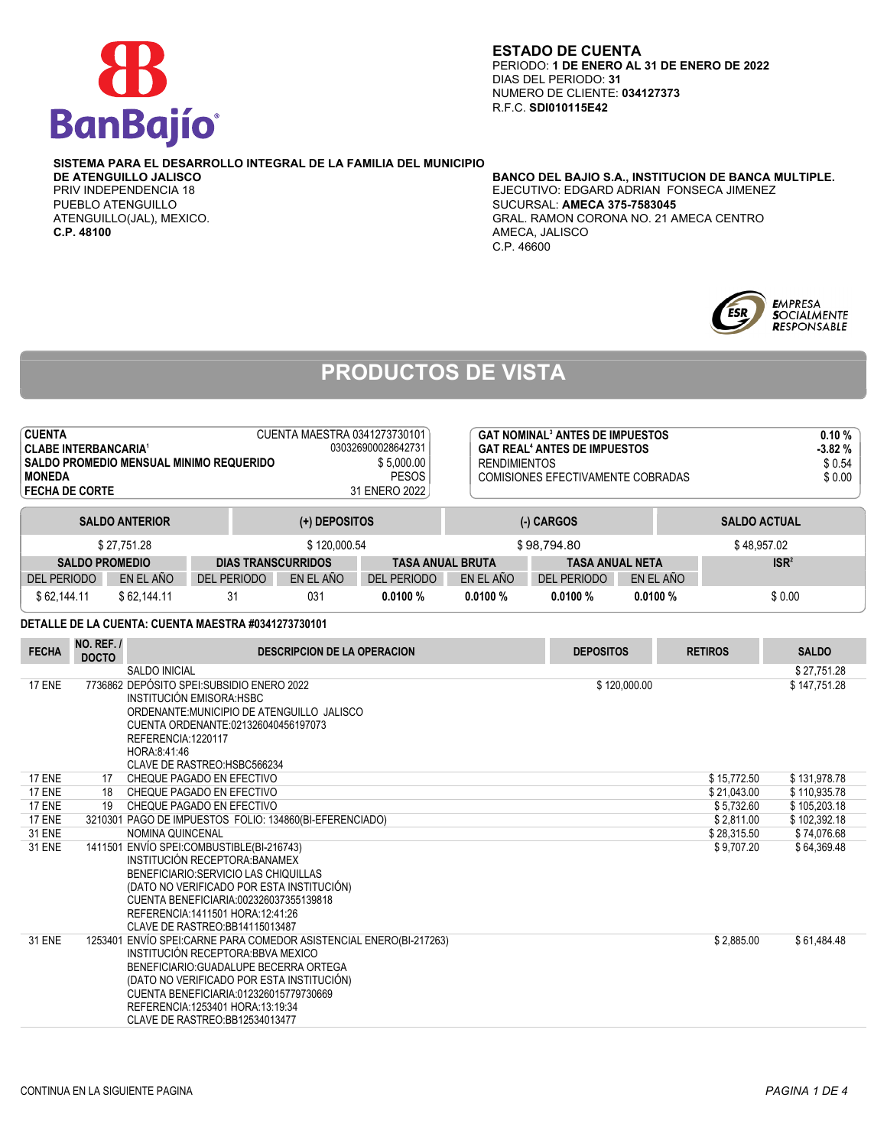

#### **ESTADO DE CUENTA** PERIODO: **1 DE ENERO AL 31 DE ENERO DE 2022** DIAS DEL PERIODO: **31** NUMERO DE CLIENTE: **034127373** R.F.C. **SDI010115E42**

# **SISTEMA PARA EL DESARROLLO INTEGRAL DE LA FAMILIA DEL MUNICIPIO**

**C.P. 48100** AMECA, JALISCO

## **BANCO DEL BAJIO S.A., INSTITUCION DE BANCA MULTIPLE.** PRIV INDEPENDENCIA 18 EJECUTIVO: EDGARD ADRIAN FONSECA JIMENEZ PUEBLO ATENGUILLO SUCURSAL: **AMECA 375-7583045** GRAL, RAMON CORONA NO. 21 AMECA CENTRO. C.P. 46600



# **PRODUCTOS DE VISTA**

| <b>CUENTA</b><br>CUENTA MAESTRA 0341273730101<br><b>CLABE INTERBANCARIA<sup>1</sup></b><br>030326900028642731<br>\$5,000.00<br>SALDO PROMEDIO MENSUAL MINIMO REQUERIDO<br><b>PESOS</b><br><b>MONEDA</b><br>31 ENERO 2022<br><b>FECHA DE CORTE</b> |                       |             |                           |                         | <b>GAT NOMINAL<sup>3</sup> ANTES DE IMPUESTOS</b><br><b>GAT REAL<sup>4</sup> ANTES DE IMPUESTOS</b><br><b>RENDIMIENTOS</b><br>COMISIONES EFECTIVAMENTE COBRADAS |                        |           |                     | 0.10%<br>$-3.82%$<br>\$0.54<br>\$0.00 |
|---------------------------------------------------------------------------------------------------------------------------------------------------------------------------------------------------------------------------------------------------|-----------------------|-------------|---------------------------|-------------------------|-----------------------------------------------------------------------------------------------------------------------------------------------------------------|------------------------|-----------|---------------------|---------------------------------------|
|                                                                                                                                                                                                                                                   | <b>SALDO ANTERIOR</b> |             | (+) DEPOSITOS             |                         |                                                                                                                                                                 | $(-)$ CARGOS           |           | <b>SALDO ACTUAL</b> |                                       |
|                                                                                                                                                                                                                                                   | \$27.751.28           |             | \$120,000.54              |                         |                                                                                                                                                                 | \$98.794.80            |           | \$48.957.02         |                                       |
| <b>SALDO PROMEDIO</b>                                                                                                                                                                                                                             |                       |             | <b>DIAS TRANSCURRIDOS</b> | <b>TASA ANUAL BRUTA</b> |                                                                                                                                                                 | <b>TASA ANUAL NETA</b> |           | ISR <sup>2</sup>    |                                       |
| <b>DEL PERIODO</b>                                                                                                                                                                                                                                | EN EL AÑO             | DEL PERIODO | EN EL AÑO                 | <b>DEL PERIODO</b>      | EN EL AÑO                                                                                                                                                       | DEL PERIODO            | EN EL AÑO |                     |                                       |
| \$62,144.11                                                                                                                                                                                                                                       | \$62.144.11           | 31          | 031                       | 0.0100%                 | 0.0100%                                                                                                                                                         | 0.0100%                | 0.0100%   | \$0.00              |                                       |

### **DETALLE DE LA CUENTA: CUENTA MAESTRA #0341273730101**

| <b>FECHA</b>  | NO. REF. /<br><b>DOCTO</b> | <b>DESCRIPCION DE LA OPERACION</b>                                                                                                                                                                                                                                                                               | <b>DEPOSITOS</b> | <b>RETIROS</b> | <b>SALDO</b> |
|---------------|----------------------------|------------------------------------------------------------------------------------------------------------------------------------------------------------------------------------------------------------------------------------------------------------------------------------------------------------------|------------------|----------------|--------------|
|               |                            | <b>SALDO INICIAL</b>                                                                                                                                                                                                                                                                                             |                  |                | \$27,751.28  |
| <b>17 ENE</b> |                            | 7736862 DEPÓSITO SPEI: SUBSIDIO ENERO 2022<br>INSTITUCIÓN EMISORA: HSBC<br>ORDENANTE: MUNICIPIO DE ATENGUILLO JALISCO<br>CUENTA ORDENANTE:021326040456197073<br>REFERENCIA:1220117<br>HORA: 8: 41: 46<br>CLAVE DE RASTREO: HSBC566234                                                                            | \$120,000.00     |                | \$147,751.28 |
| <b>17 ENE</b> | 17                         | CHEQUE PAGADO EN EFECTIVO                                                                                                                                                                                                                                                                                        |                  | \$15,772.50    | \$131,978.78 |
| <b>17 ENE</b> | 18                         | CHEQUE PAGADO EN EFECTIVO                                                                                                                                                                                                                                                                                        |                  | \$21,043.00    | \$110,935.78 |
| <b>17 ENE</b> | 19                         | CHEQUE PAGADO EN EFECTIVO                                                                                                                                                                                                                                                                                        |                  | \$5,732.60     | \$105,203.18 |
| <b>17 ENE</b> |                            | 3210301 PAGO DE IMPUESTOS FOLIO: 134860(BI-EFERENCIADO)                                                                                                                                                                                                                                                          |                  | \$2,811.00     | \$102,392.18 |
| <b>31 ENE</b> |                            | NOMINA QUINCENAL                                                                                                                                                                                                                                                                                                 |                  | \$28,315.50    | \$74,076.68  |
| <b>31 ENE</b> |                            | 1411501 ENVÍO SPEI: COMBUSTIBLE(BI-216743)<br>INSTITUCIÓN RECEPTORA BANAMEX<br>BENEFICIARIO: SERVICIO LAS CHIQUILLAS<br>(DATO NO VERIFICADO POR ESTA INSTITUCIÓN)<br>CUENTA BENEFICIARIA:002326037355139818<br>REFERENCIA:1411501 HORA:12:41:26<br>CLAVE DE RASTREO:BB14115013487                                |                  | \$9,707.20     | \$64,369.48  |
| <b>31 ENE</b> |                            | 1253401 ENVÍO SPEI: CARNE PARA COMEDOR ASISTENCIAL ENERO(BI-217263)<br>INSTITUCIÓN RECEPTORA: BBVA MEXICO<br>BENEFICIARIO: GUADALUPE BECERRA ORTEGA<br>(DATO NO VERIFICADO POR ESTA INSTITUCIÓN)<br>CUENTA BENEFICIARIA:012326015779730669<br>REFERENCIA:1253401 HORA:13:19:34<br>CLAVE DE RASTREO:BB12534013477 |                  | \$2,885.00     | \$61,484.48  |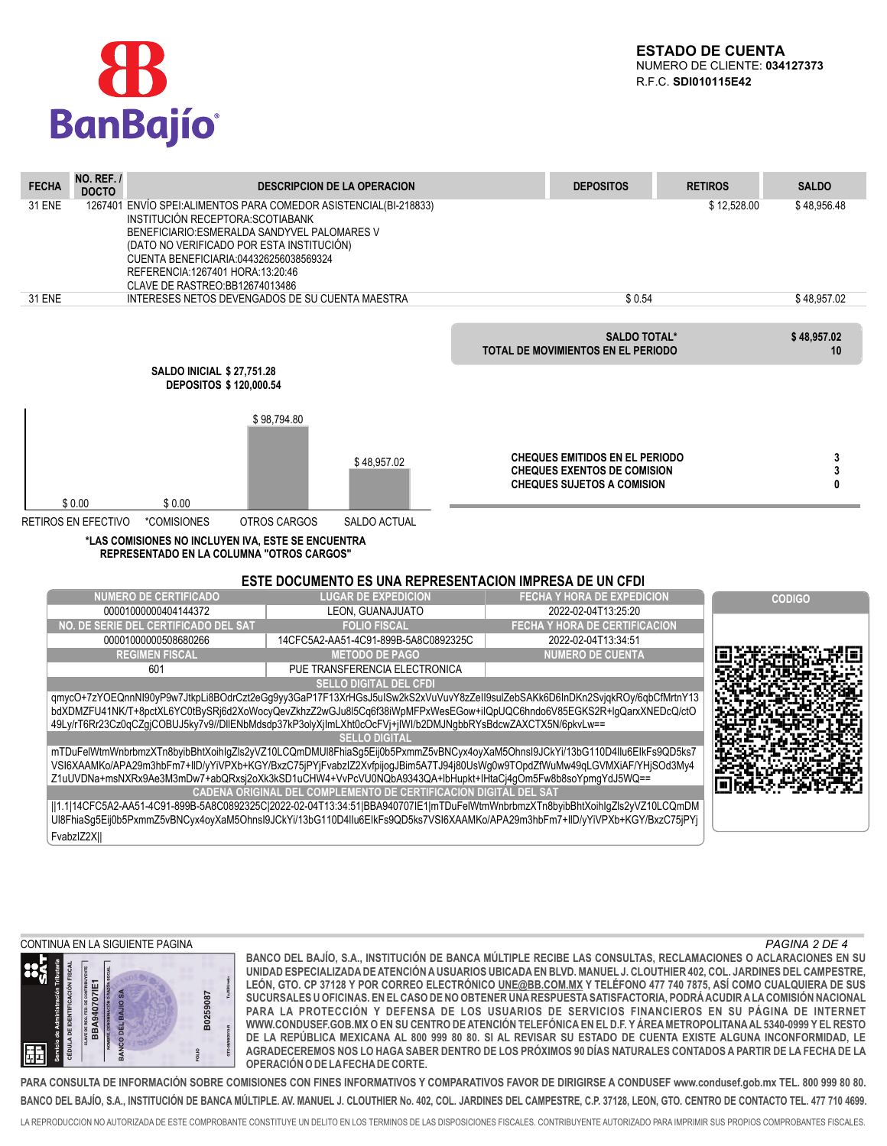

| <b>NO. REF. /</b><br><b>FECHA</b><br><b>DOCTO</b> |                                                                                                                                                                                                                                                  |                     | <b>DESCRIPCION DE LA OPERACION</b>                                                                                                                                                                                                                                                                                                                                                                                                                                                                                    | <b>DEPOSITOS</b>                                                                                                 | <b>RETIROS</b> | <b>SALDO</b>      |
|---------------------------------------------------|--------------------------------------------------------------------------------------------------------------------------------------------------------------------------------------------------------------------------------------------------|---------------------|-----------------------------------------------------------------------------------------------------------------------------------------------------------------------------------------------------------------------------------------------------------------------------------------------------------------------------------------------------------------------------------------------------------------------------------------------------------------------------------------------------------------------|------------------------------------------------------------------------------------------------------------------|----------------|-------------------|
| <b>31 ENE</b>                                     | INSTITUCIÓN RECEPTORA: SCOTIABANK<br>BENEFICIARIO:ESMERALDA SANDYVEL PALOMARES V<br>(DATO NO VERIFICADO POR ESTA INSTITUCIÓN)<br>CUENTA BENEFICIARIA:044326256038569324<br>REFERENCIA: 1267401 HORA: 13:20:46<br>CLAVE DE RASTREO: BB12674013486 |                     | 1267401 ENVÍO SPEI: ALIMENTOS PARA COMEDOR ASISTENCIAL (BI-218833)                                                                                                                                                                                                                                                                                                                                                                                                                                                    |                                                                                                                  | \$12,528.00    | \$48,956.48       |
| <b>31 ENE</b>                                     | INTERESES NETOS DEVENGADOS DE SU CUENTA MAESTRA                                                                                                                                                                                                  |                     |                                                                                                                                                                                                                                                                                                                                                                                                                                                                                                                       | \$0.54                                                                                                           |                | \$48,957.02       |
|                                                   |                                                                                                                                                                                                                                                  |                     |                                                                                                                                                                                                                                                                                                                                                                                                                                                                                                                       | <b>SALDO TOTAL*</b><br>TOTAL DE MOVIMIENTOS EN EL PERIODO                                                        |                | \$48,957.02<br>10 |
|                                                   | <b>SALDO INICIAL \$27.751.28</b><br><b>DEPOSITOS \$120,000.54</b>                                                                                                                                                                                |                     |                                                                                                                                                                                                                                                                                                                                                                                                                                                                                                                       |                                                                                                                  |                |                   |
|                                                   |                                                                                                                                                                                                                                                  | \$98.794.80         | \$48.957.02                                                                                                                                                                                                                                                                                                                                                                                                                                                                                                           | <b>CHEQUES EMITIDOS EN EL PERIODO</b><br><b>CHEQUES EXENTOS DE COMISION</b><br><b>CHEQUES SUJETOS A COMISION</b> |                | 3<br>3<br>0       |
| \$0.00                                            | \$0.00                                                                                                                                                                                                                                           |                     |                                                                                                                                                                                                                                                                                                                                                                                                                                                                                                                       |                                                                                                                  |                |                   |
| <b>RETIROS EN EFECTIVO</b>                        | *COMISIONES                                                                                                                                                                                                                                      | <b>OTROS CARGOS</b> | <b>SALDO ACTUAL</b>                                                                                                                                                                                                                                                                                                                                                                                                                                                                                                   |                                                                                                                  |                |                   |
|                                                   | *LAS COMISIONES NO INCLUYEN IVA, ESTE SE ENCUENTRA<br><b>REPRESENTADO EN LA COLUMNA "OTROS CARGOS"</b>                                                                                                                                           |                     |                                                                                                                                                                                                                                                                                                                                                                                                                                                                                                                       |                                                                                                                  |                |                   |
|                                                   |                                                                                                                                                                                                                                                  |                     | <b>ESTE DOCUMENTO ES UNA REPRESENTACION IMPRESA DE UN CFDI</b>                                                                                                                                                                                                                                                                                                                                                                                                                                                        |                                                                                                                  |                |                   |
|                                                   | <b>NUMERO DE CERTIFICADO</b>                                                                                                                                                                                                                     |                     | <b>LUGAR DE EXPEDICION</b>                                                                                                                                                                                                                                                                                                                                                                                                                                                                                            | <b>FECHA Y HORA DE EXPEDICION</b>                                                                                |                | <b>CODIGO</b>     |
|                                                   | 00001000000404144372                                                                                                                                                                                                                             |                     | LEON, GUANAJUATO                                                                                                                                                                                                                                                                                                                                                                                                                                                                                                      | 2022-02-04T13:25:20                                                                                              |                |                   |
|                                                   | NO. DE SERIE DEL CERTIFICADO DEL SAT<br>00001000000508680266                                                                                                                                                                                     |                     | <b>FOLIO FISCAL</b><br>14CFC5A2-AA51-4C91-899B-5A8C0892325C                                                                                                                                                                                                                                                                                                                                                                                                                                                           | FECHA Y HORA DE CERTIFICACION<br>2022-02-04T13:34:51                                                             |                |                   |
|                                                   | <b>REGIMEN FISCAL</b>                                                                                                                                                                                                                            |                     | <b>METODO DE PAGO</b>                                                                                                                                                                                                                                                                                                                                                                                                                                                                                                 | <b>NUMERO DE CUENTA</b>                                                                                          |                |                   |
|                                                   | 601                                                                                                                                                                                                                                              |                     | PUE TRANSFERENCIA ELECTRONICA                                                                                                                                                                                                                                                                                                                                                                                                                                                                                         |                                                                                                                  |                |                   |
|                                                   |                                                                                                                                                                                                                                                  |                     | <b>SELLO DIGITAL DEL CFDI</b>                                                                                                                                                                                                                                                                                                                                                                                                                                                                                         |                                                                                                                  |                |                   |
|                                                   |                                                                                                                                                                                                                                                  |                     | qmycO+7zYOEQnnNI90yP9w7JtkpLi8BOdrCzt2eGg9yy3GaP17F13XrHGsJ5uISw2kS2xVuVuvY8zZell9suIZebSAKk6D6InDKn2SvjqkROy/6qbCfMrtnY13<br>bdXDMZFU41NK/T+8pctXL6YC0tBySRj6d2XoWocyQevZkhzZ2wGJu8l5Cq6f38iWpMFPxWesEGow+ilQpUQC6hndo6V85EGKS2R+lgQarxXNEDcQ/ctO<br>49Ly/rT6Rr23Cz0qCZgjCOBUJ5ky7v9//DIIENbMdsdp37kP3olyXjImLXht0cOcFVj+jlWl/b2DMJNgbbRYsBdcwZAXCTX5N/6pkvLw==<br><b>SELLO DIGITAL</b><br>mTDuFelWtmWnbrbmzXTn8byibBhtXoihlgZls2yVZ10LCQmDMUl8FhiaSg5Eij0b5PxmmZ5vBNCyx4oyXaM5Ohnsl9JCkYi/13bG110D4llu6ElkFs9QD5ks7 |                                                                                                                  |                |                   |
|                                                   |                                                                                                                                                                                                                                                  |                     | VSI6XAAMKo/APA29m3hbFm7+IID/yYiVPXb+KGY/BxzC75jPYjFvabzIZ2XvfpijogJBim5A7TJ94j80UsWg0w9TOpdZfWuMw49qLGVMXiAF/YHjSOd3My4<br>Z1uUVDNa+msNXRx9Ae3M3mDw7+abQRxsj2oXk3kSD1uCHW4+VvPcVU0NQbA9343QA+lbHupkt+lHtaCj4gOm5Fw8b8soYpmgYdJ5WQ==<br>CADENA ORIGINAL DEL COMPLEMENTO DE CERTIFICACION DIGITAL DEL SAT                                                                                                                                                                                                               |                                                                                                                  |                |                   |
| FvabzlZ2XII                                       |                                                                                                                                                                                                                                                  |                     | 1.1 14CFC5A2-AA51-4C91-899B-5A8C0892325C 2022-02-04T13:34:51 BBA940707IE1 mTDuFelWtmWnbrbmzXTn8byibBhtXoihlgZls2yVZ10LCQmDM<br>Ül8FhiaSg5Eij0b5PxmmZ5vBNCyx4oyXaM5Ohnsl9JCkYi/13bG110D4IIu6ElkFs9QD5ks7VSI6XAAMKo/APA29m3hbFm7+IID/yYiVPXb+KGY/BxzC75jPYj                                                                                                                                                                                                                                                             |                                                                                                                  |                |                   |

#### *CONTINUA EN LA SIGUIENTE PAGINA PAGINA 2 DE 4*



**BANCO DEL BAJÍO, S.A., INSTITUCIÓN DE BANCA MÚLTIPLE RECIBE LAS CONSULTAS, RECLAMACIONES O ACLARACIONES EN SU UNIDAD ESPECIALIZADA DE ATENCIÓN A USUARIOS UBICADA EN BLVD. MANUEL J. CLOUTHIER 402, COL. JARDINES DEL CAMPESTRE,** LEÓN, GTO. CP 37128 Y POR CORREO ELECTRÓNICO UNE@BB.COM.MX Y TELÉFONO 477 740 7875, ASÍ COMO CUALQUIERA DE SUS **SUCURSALES U OFICINAS. EN EL CASO DE NO OBTENER UNA RESPUESTA SATISFACTORIA, PODRÁ ACUDIR A LA COMISIÓN NACIONAL PARA LA PROTECCIÓN Y DEFENSA DE LOS USUARIOS DE SERVICIOS FINANCIEROS EN SU PÁGINA DE INTERNET WWW.CONDUSEF.GOB.MX O EN SU CENTRO DE ATENCIÓN TELEFÓNICA EN EL D.F. Y ÁREA METROPOLITANA AL 5340-0999 Y EL RESTO DE LA REPÚBLICA MEXICANA AL 800 999 80 80. SI AL REVISAR SU ESTADO DE CUENTA EXISTE ALGUNA INCONFORMIDAD, LE AGRADECEREMOS NOS LO HAGA SABER DENTRO DE LOS PRÓXIMOS 90 DÍAS NATURALES CONTADOS A PARTIR DE LA FECHA DE LA OPERACIÓN O DE LAFECHADE CORTE.**

**BANCO DEL BAJÍO, S.A., INSTITUCIÓN DE BANCA MÚLTIPLE. AV. MANUEL J. CLOUTHIER No. 402, COL. JARDINES DEL CAMPESTRE, C.P. 37128, LEON, GTO. CENTRO DE CONTACTO TEL. 477 710 4699. PARA CONSULTA DE INFORMACIÓN SOBRE COMISIONES CON FINES INFORMATIVOS Y COMPARATIVOS FAVOR DE DIRIGIRSE A CONDUSEF www.condusef.gob.mx TEL. 800 999 80 80.**

LA REPRODUCCION NO AUTORIZADA DE ESTE COMPROBANTE CONSTITUYE UN DELITO EN LOS TERMINOS DE LAS DISPOSICIONES FISCALES. CONTRIBUYENTE AUTORIZADO PARA IMPRIMIR SUS PROPIOS COMPROBANTES FISCALES.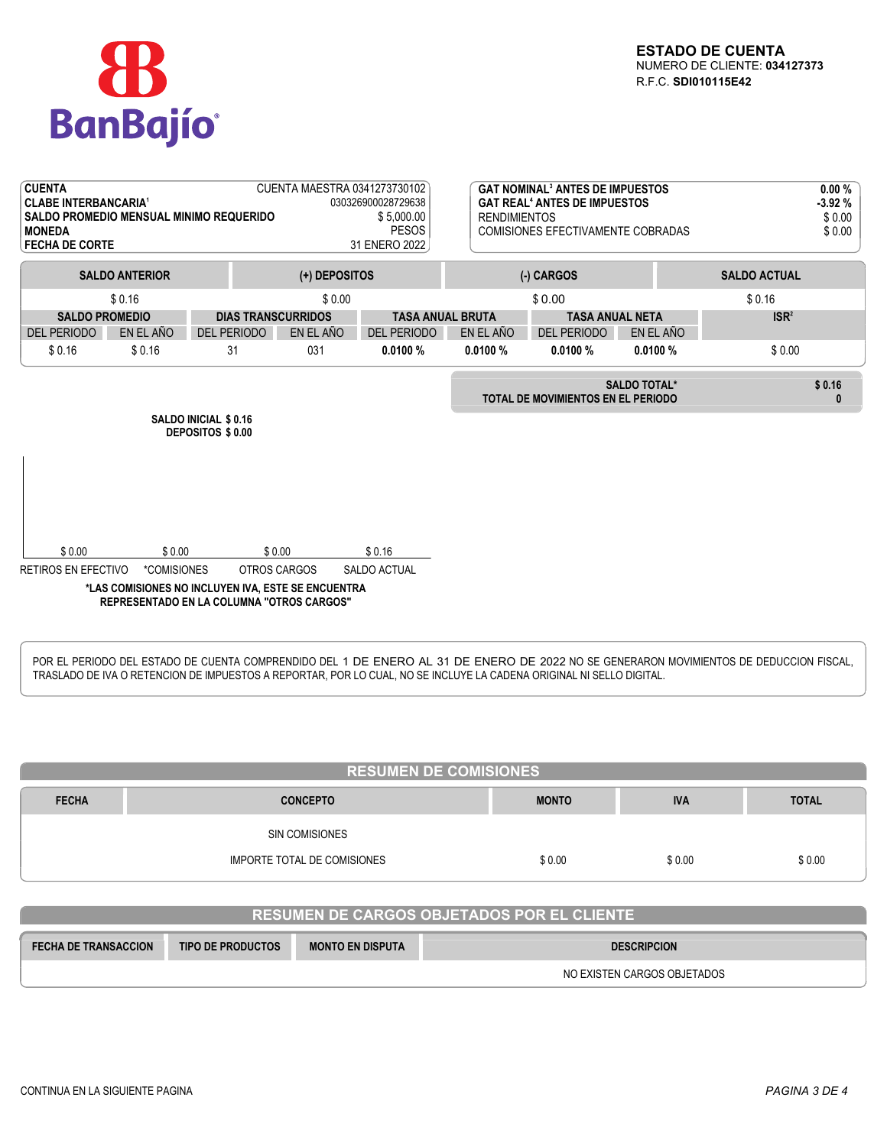

| <b>CUENTA</b><br><b>CLABE INTERBANCARIA<sup>1</sup></b><br><b>SALDO PROMEDIO MENSUAL MINIMO REQUERIDO</b><br><b>MONEDA</b><br><b>FECHA DE CORTE</b><br><b>SALDO ANTERIOR</b> |                       |                    | CUENTA MAESTRA 0341273730102<br>(+) DEPOSITOS                                                                                    | 030326900028729638<br>\$5,000.00<br><b>PESOS</b><br>31 ENERO 2022 | <b>RENDIMIENTOS</b>              | <b>GAT NOMINAL<sup>3</sup> ANTES DE IMPUESTOS</b><br><b>GAT REAL<sup>4</sup> ANTES DE IMPUESTOS</b><br><b>COMISIONES EFECTIVAMENTE COBRADAS</b><br>(-) CARGOS |                     | <b>SALDO ACTUAL</b> | 0.00%<br>$-3.92%$<br>\$0.00<br>\$0.00 |
|------------------------------------------------------------------------------------------------------------------------------------------------------------------------------|-----------------------|--------------------|----------------------------------------------------------------------------------------------------------------------------------|-------------------------------------------------------------------|----------------------------------|---------------------------------------------------------------------------------------------------------------------------------------------------------------|---------------------|---------------------|---------------------------------------|
|                                                                                                                                                                              | \$0.16                |                    |                                                                                                                                  |                                                                   |                                  |                                                                                                                                                               |                     | \$0.16              |                                       |
| <b>SALDO PROMEDIO</b>                                                                                                                                                        |                       |                    | \$0.00<br><b>DIAS TRANSCURRIDOS</b>                                                                                              | <b>TASA ANUAL BRUTA</b>                                           | \$0.00<br><b>TASA ANUAL NETA</b> |                                                                                                                                                               |                     | ISR <sup>2</sup>    |                                       |
| <b>DEL PERIODO</b>                                                                                                                                                           | EN EL AÑO             | <b>DEL PERIODO</b> | EN EL AÑO                                                                                                                        | <b>DEL PERIODO</b>                                                | EN EL AÑO                        | <b>DEL PERIODO</b>                                                                                                                                            | EN EL AÑO           |                     |                                       |
| \$0.16                                                                                                                                                                       | \$0.16                | 31                 | 031                                                                                                                              | 0.0100%                                                           | 0.0100%                          | 0.0100%                                                                                                                                                       | 0.0100%             | \$0.00              |                                       |
| <b>SALDO INICIAL \$ 0.16</b><br>DEPOSITOS \$ 0.00                                                                                                                            |                       |                    |                                                                                                                                  |                                                                   |                                  | TOTAL DE MOVIMIENTOS EN EL PERIODO                                                                                                                            | <b>SALDO TOTAL*</b> |                     | \$0.16<br>$\bf{0}$                    |
| \$0.00<br><b>RETIROS EN EFECTIVO</b>                                                                                                                                         | \$0.00<br>*COMISIONES |                    | \$0.00<br>OTROS CARGOS<br>*LAS COMISIONES NO INCLUYEN IVA, ESTE SE ENCUENTRA<br><b>REPRESENTADO EN LA COLUMNA "OTROS CARGOS"</b> | \$0.16<br><b>SALDO ACTUAL</b>                                     |                                  |                                                                                                                                                               |                     |                     |                                       |

POR EL PERIODO DEL ESTADO DE CUENTA COMPRENDIDO DEL 1 DE ENERO AL 31 DE ENERO DE 2022 NO SE GENERARON MOVIMIENTOS DE DEDUCCION FISCAL, TRASLADO DE IVA O RETENCION DE IMPUESTOS A REPORTAR, POR LO CUAL, NO SE INCLUYE LA CADENA ORIGINAL NI SELLO DIGITAL.

| <b>RESUMEN DE COMISIONES</b> |                                                               |        |        |        |  |  |  |
|------------------------------|---------------------------------------------------------------|--------|--------|--------|--|--|--|
| <b>FECHA</b>                 | <b>TOTAL</b><br><b>CONCEPTO</b><br><b>MONTO</b><br><b>IVA</b> |        |        |        |  |  |  |
|                              | SIN COMISIONES                                                |        |        |        |  |  |  |
|                              | IMPORTE TOTAL DE COMISIONES                                   | \$0.00 | \$0.00 | \$0.00 |  |  |  |

# **RESUMEN DE CARGOS OBJETADOS POR EL CLIENTE**

| <b>FECHA DE TRANSACCION</b> | <b>TIPO DE PRODUCTOS</b> | <b>MONTO EN DISPUTA</b> | <b>DESCRIPCION</b>          |
|-----------------------------|--------------------------|-------------------------|-----------------------------|
|                             |                          |                         | NO EXISTEN CARGOS OBJETADOS |